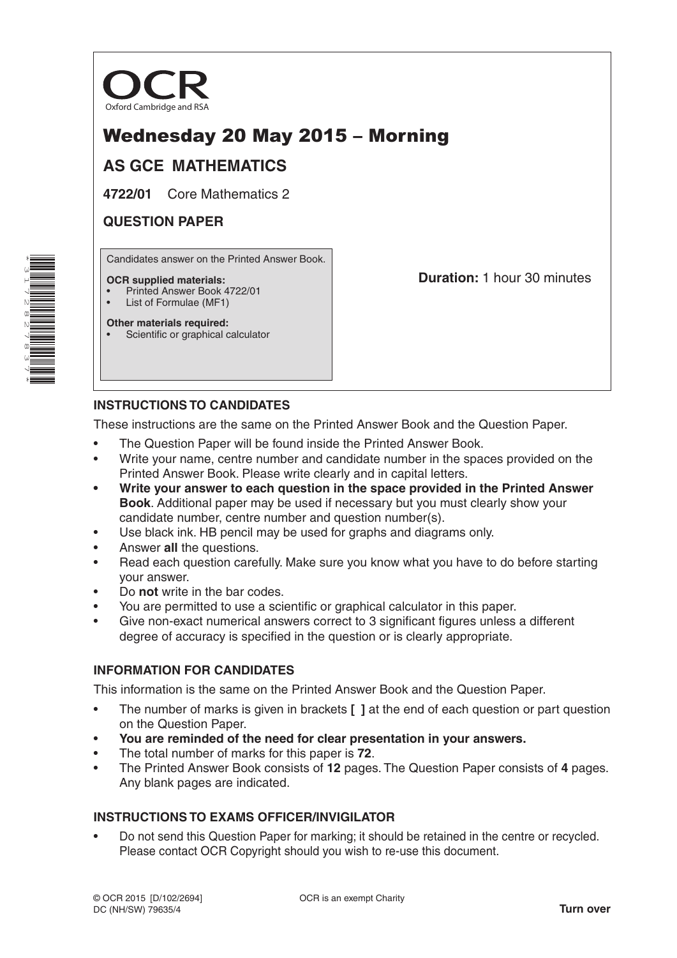

# Wednesday 20 May 2015 – Morning

# **AS GCE MATHEMATICS**

**4722/01** Core Mathematics 2

# **QUESTION PAPER**

Candidates answer on the Printed Answer Book.

#### **OCR supplied materials:**

- Printed Answer Book 4722/01
- List of Formulae (MF1)

**Other materials required:** Scientific or graphical calculator **Duration:** 1 hour 30 minutes

## **INSTRUCTIONS TO CANDIDATES**

These instructions are the same on the Printed Answer Book and the Question Paper.

- The Question Paper will be found inside the Printed Answer Book.
- Write your name, centre number and candidate number in the spaces provided on the Printed Answer Book. Please write clearly and in capital letters.
- **• Write your answer to each question in the space provided in the Printed Answer Book**. Additional paper may be used if necessary but you must clearly show your candidate number, centre number and question number(s).
- Use black ink. HB pencil may be used for graphs and diagrams only.
- Answer **all** the questions.
- Read each question carefully. Make sure you know what you have to do before starting your answer.
- Do **not** write in the bar codes.
- You are permitted to use a scientific or graphical calculator in this paper.
- Give non-exact numerical answers correct to 3 significant figures unless a different degree of accuracy is specified in the question or is clearly appropriate.

### **INFORMATION FOR CANDIDATES**

This information is the same on the Printed Answer Book and the Question Paper.

- The number of marks is given in brackets **[ ]** at the end of each question or part question on the Question Paper.
- **You are reminded of the need for clear presentation in your answers.**
- The total number of marks for this paper is **72**.
- The Printed Answer Book consists of **12** pages. The Question Paper consists of **4** pages. Any blank pages are indicated.

### **INSTRUCTIONS TO EXAMS OFFICER/INVIGILATOR**

• Do not send this Question Paper for marking; it should be retained in the centre or recycled. Please contact OCR Copyright should you wish to re-use this document.

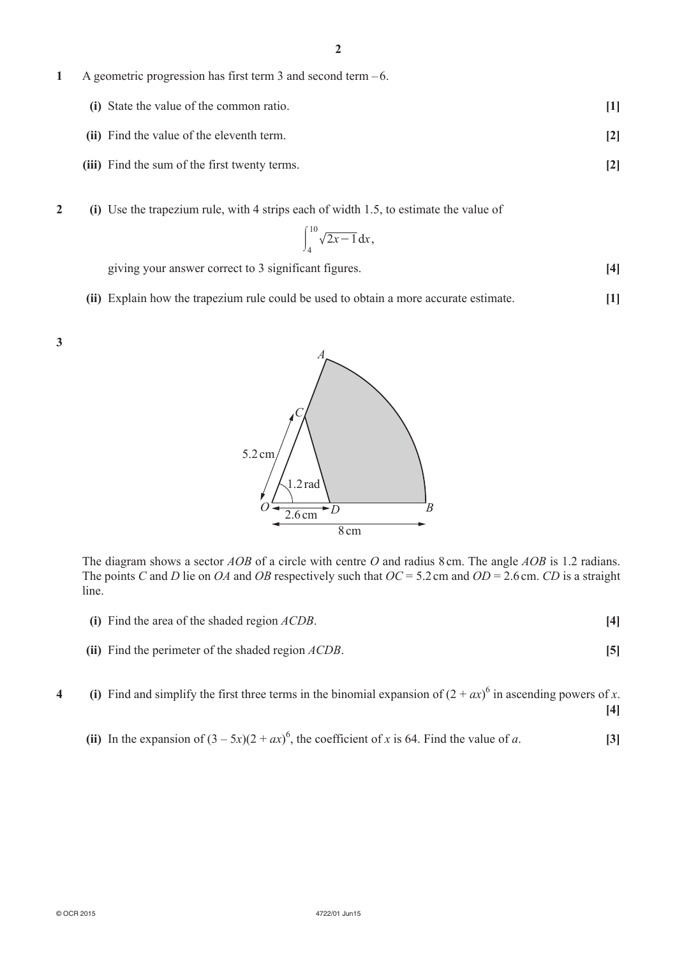**1**  A geometric progression has first term 3 and second term –6.

| (i) State the value of the common ratio. |  |
|------------------------------------------|--|
|                                          |  |

- **(ii)** Find the value of the eleventh term. **[2]**
- **(iii)** Find the sum of the first twenty terms. **[2]**
- **2** (i) Use the trapezium rule, with 4 strips each of width 1.5, to estimate the value of

$$
\int_{4}^{10} \sqrt{2x-1} \, \mathrm{d}x
$$

giving your answer correct to 3 significant figures. **[4]** 

**(ii)** Explain how the trapezium rule could be used to obtain a more accurate estimate. **[1]** 





The diagram shows a sector *AOB* of a circle with centre *O* and radius 8 cm. The angle *AOB* is 1.2 radians. The points *C* and *D* lie on *OA* and *OB* respectively such that *OC* = 5.2cm and *OD* = 2.6cm. *CD* is a straight line.

- **(i)** Find the area of the shaded region *ACDB*. **[4]**
- **(ii)** Find the perimeter of the shaded region *ACDB*. **[5]**
- **4** (i) Find and simplify the first three terms in the binomial expansion of  $(2 + ax)^6$  in ascending powers of *x*. **[4]**
- (ii) In the expansion of  $(3 5x)(2 + ax)^6$ , the coefficient of *x* is 64. Find the value of *a*. [3]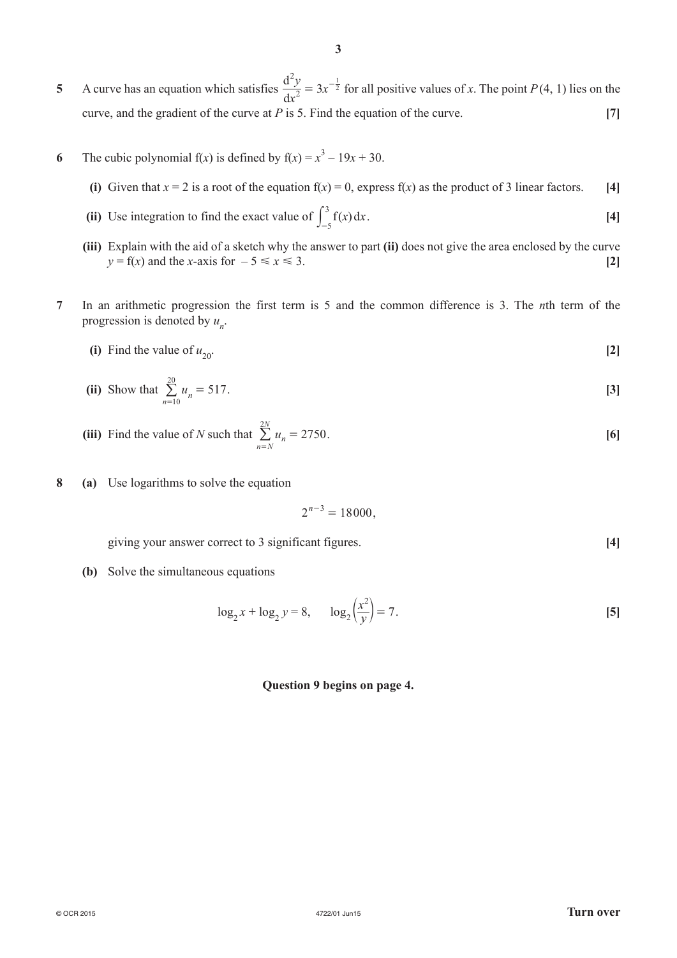- **5**  A curve has an equation which satisfies *x*  $\frac{d^2y}{dx^2} = 3x$ d 2 2  $= 3x^{-\frac{1}{2}}$  for all positive values of *x*. The point *P*(4, 1) lies on the curve, and the gradient of the curve at *P* is 5. Find the equation of the curve. **[7]**
- **6** The cubic polynomial  $f(x)$  is defined by  $f(x) = x^3 19x + 30$ .
	- **(i)** Given that  $x = 2$  is a root of the equation  $f(x) = 0$ , express  $f(x)$  as the product of 3 linear factors. [4]
- (ii) Use integration to find the exact value of  $\int_{-5}^{3} f(x) dx$ 3  $\int_{-5}^{3} f(x) dx$ . [4]
	- **(iii)** Explain with the aid of a sketch why the answer to part (ii) does not give the area enclosed by the curve  $y = f(x)$  and the *x*-axis for  $-5 \le x \le 3$ . [2]
- **7**  In an arithmetic progression the first term is 5 and the common difference is 3. The *n*th term of the progression is denoted by  $u_n$ .
	- (i) Find the value of  $u_{20}$ . [2]

(ii) Show that 
$$
\sum_{n=10}^{20} u_n = 517
$$
. [3]

- **(iii)** Find the value of *N* such that  $\sum_{n=1}^{\infty} u_n = 2750$  $n = N$  $\sum_{n=N}^{2N} u_n = 2750.$  [6]
- **8 (a)**  Use logarithms to solve the equation

$$
2^{n-3} = 18000,
$$

*<u>eiving</u>* vour answer correct to 3 significant figures. **[4]** *All Equipment Equipment Equipment Equipment Equipment Equipment Equipment Equipment Equipment Equipment*

**(b)** Solve the simultaneous equations

$$
\log_2 x + \log_2 y = 8, \qquad \log_2 \left(\frac{x^2}{y}\right) = 7.
$$
 [5]

#### **Question 9 begins on page 4.**